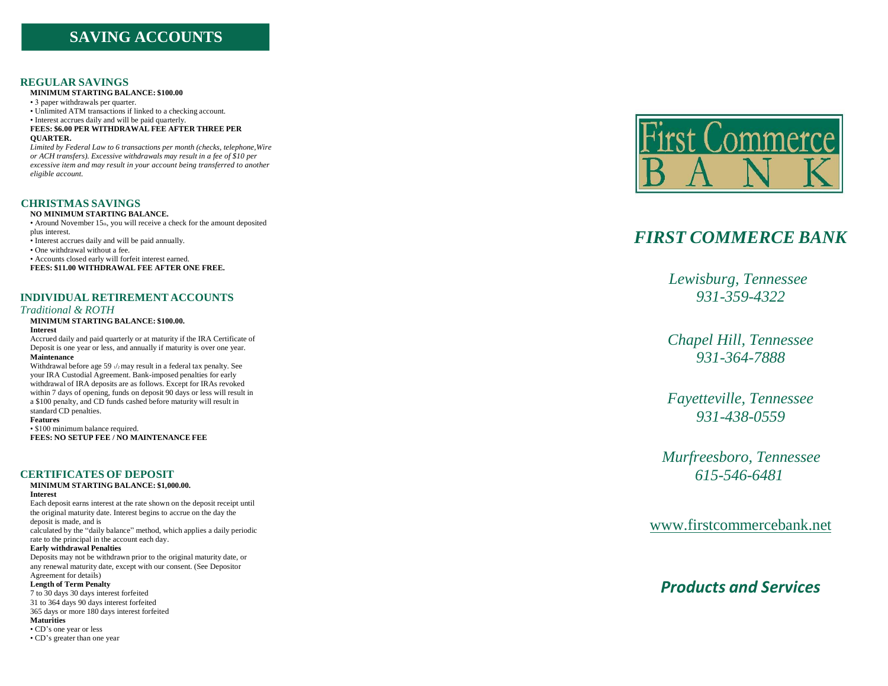# **SAVING ACCOUNTS**

# **R E G U LAR SA V I N G S**

**M I N I M U M S TARTING B A LANC E : \$100 .00**

• 3 paper withdrawals per quarter.

• Unlimited ATM transactions if linked to a checking account.

• Interest accrues daily and will be paid quarterly. **FEE S : \$6 .00 PE R WITHDRAWAL FE E AFTE R THR E E PER** 

**QUARTER.**

Limited by Federal Law to 6 transactions per month (checks, telephone, Wire or ACH transfers). Excessive withdrawals may result in a fee of \$10 per *excessive item and may result in your account being transferred to another eligible account.* 

## **CHRISTMAS SAVINGS**

NO MINIMUM STARTING BALANCE.

• Around November 15<sup>th</sup>, you will receive a check for the amount deposited plus interest.

• Interest accrues daily and will be paid annually.

• One withdrawal without a fee.

· Accounts closed early will forfeit interest earned.

**FEE S : \$11 .00 WITHDRAWAL FE E A FTE R ONE F REE.**

# **INDIVIDUAL RETIREMENT ACCOUNTS**

### *Traditiona l & R OTH*

#### **M I N I M U M S TARTING B A LANC E : \$100 .00.**

#### **Interes t**

Accrued daily and paid quarterly or at maturity if the IRA Certificate of Deposit is one year or less, and annually if maturity is over one year. **Maintenance** 

Withdrawal before age 59  $\sqrt{2}$  may result in a federal tax penalty. See your IRA Custodial Agreement. Bank-imposed penalties for early withdrawal of IRA deposits are as follows. Except for IRAs revoked within 7 days of opening, funds on deposit 90 days or less will result in a \$100 penalty, and CD funds cashed before maturity will result in standard CD penalties.

#### **Fe a t ures**

• \$100 minimum balance required. **FEE S : NO SETUP FE E / NO M A I N T ENANCE FEE**

## **CERTIFICATES OF DEPOSIT**

# **M I N I M U M S TARTING B A LANC E : \$1 ,000 .00.**

**Interes t**

Each deposit earns interest at the rate shown on the deposit receipt until the original maturity date. Interest begins to accrue on the day the deposit is made, and is

calculated by the "daily balance" method, which applies a daily periodic rate to the principal in the account each day.

**Early** withdrawal Penalties

Deposits may not be withdrawn prior to the original maturity date, or any renewal maturity date, except with our consent. (See Depositor Agreement for details)

### Length of Term Penalty

7 to 30 d a y s 30 d a y s i n t e res t for feit e d

31 to 364 days 90 days interest forfeited 365 days or more 180 days interest forfeited

**Maturities** 

• CD's one year or less

• CD's greater than one year



# *FIRST C OMMER CE BANK*

*Lewisburg*, Tennessee *9 3 1 - 3 5 9 - 4 322*

*Chap e l Hill , Te n n essee 9 3 1 - 3 64 - 7888*

*Faye t t e v ille, Te n n essee 9 3 1 - 4 3 8 - 0 559*

*Murfreesboro, Tennessee 615 -546 -6481*

www.firstcom[merce](http://www.firstcommercebank.net/)bank.net

# **Products and Services**